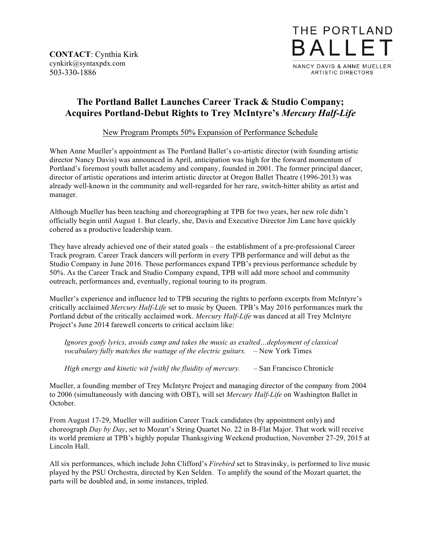**CONTACT**: Cynthia Kirk cynkirk@syntaxpdx.com 503-330-1886



## **The Portland Ballet Launches Career Track & Studio Company; Acquires Portland-Debut Rights to Trey McIntyre's** *Mercury Half-Life*

New Program Prompts 50% Expansion of Performance Schedule

When Anne Mueller's appointment as The Portland Ballet's co-artistic director (with founding artistic director Nancy Davis) was announced in April, anticipation was high for the forward momentum of Portland's foremost youth ballet academy and company, founded in 2001. The former principal dancer, director of artistic operations and interim artistic director at Oregon Ballet Theatre (1996-2013) was already well-known in the community and well-regarded for her rare, switch-hitter ability as artist and manager.

Although Mueller has been teaching and choreographing at TPB for two years, her new role didn't officially begin until August 1. But clearly, she, Davis and Executive Director Jim Lane have quickly cohered as a productive leadership team.

They have already achieved one of their stated goals – the establishment of a pre-professional Career Track program. Career Track dancers will perform in every TPB performance and will debut as the Studio Company in June 2016. Those performances expand TPB's previous performance schedule by 50%. As the Career Track and Studio Company expand, TPB will add more school and community outreach, performances and, eventually, regional touring to its program.

Mueller's experience and influence led to TPB securing the rights to perform excerpts from McIntyre's critically acclaimed *Mercury Half-Life* set to music by Queen. TPB's May 2016 performances mark the Portland debut of the critically acclaimed work. *Mercury Half-Life* was danced at all Trey McIntyre Project's June 2014 farewell concerts to critical acclaim like:

*Ignores goofy lyrics, avoids camp and takes the music as exalted…deployment of classical vocabulary fully matches the wattage of the electric guitars.* – New York Times

*High energy and kinetic wit [with] the fluidity of mercury.* – San Francisco Chronicle

Mueller, a founding member of Trey McIntyre Project and managing director of the company from 2004 to 2006 (simultaneously with dancing with OBT), will set *Mercury Half-Life* on Washington Ballet in October.

From August 17-29, Mueller will audition Career Track candidates (by appointment only) and choreograph *Day by Day*, set to Mozart's String Quartet No. 22 in B-Flat Major. That work will receive its world premiere at TPB's highly popular Thanksgiving Weekend production, November 27-29, 2015 at Lincoln Hall.

All six performances, which include John Clifford's *Firebird* set to Stravinsky, is performed to live music played by the PSU Orchestra, directed by Ken Selden. To amplify the sound of the Mozart quartet, the parts will be doubled and, in some instances, tripled.